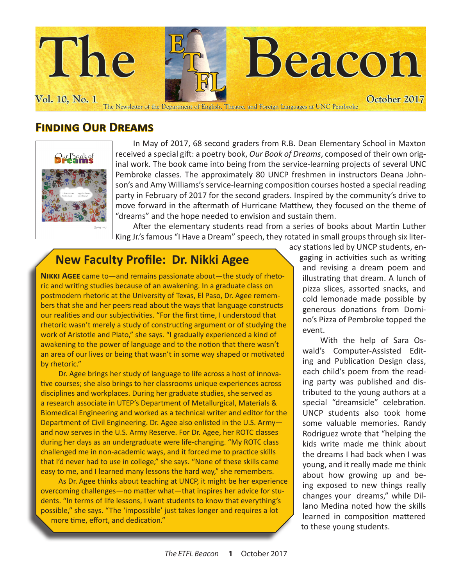

#### **Finding Our Dreams**



In May of 2017, 68 second graders from R.B. Dean Elementary School in Maxton received a special gift: a poetry book, *Our Book of Dreams*, composed of their own original work. The book came into being from the service-learning projects of several UNC Pembroke classes. The approximately 80 UNCP freshmen in instructors Deana Johnson's and Amy Williams's service-learning composition courses hosted a special reading party in February of 2017 for the second graders. Inspired by the community's drive to move forward in the aftermath of Hurricane Matthew, they focused on the theme of "dreams" and the hope needed to envision and sustain them.

After the elementary students read from a series of books about Martin Luther King Jr.'s famous "I Have a Dream" speech, they rotated in small groups through six liter-

### **New Faculty Profile: Dr. Nikki Agee**

**Nikki Agee** came to—and remains passionate about—the study of rhetoric and writing studies because of an awakening. In a graduate class on postmodern rhetoric at the University of Texas, El Paso, Dr. Agee remembers that she and her peers read about the ways that language constructs our realities and our subjectivities. "For the first time, I understood that rhetoric wasn't merely a study of constructing argument or of studying the work of Aristotle and Plato," she says. "I gradually experienced a kind of awakening to the power of language and to the notion that there wasn't an area of our lives or being that wasn't in some way shaped or motivated by rhetoric."

Dr. Agee brings her study of language to life across a host of innovative courses; she also brings to her classrooms unique experiences across disciplines and workplaces. During her graduate studies, she served as a research associate in UTEP's Department of Metallurgical, Materials & Biomedical Engineering and worked as a technical writer and editor for the Department of Civil Engineering. Dr. Agee also enlisted in the U.S. Army and now serves in the U.S. Army Reserve. For Dr. Agee, her ROTC classes during her days as an undergraduate were life-changing. "My ROTC class challenged me in non-academic ways, and it forced me to practice skills that I'd never had to use in college," she says. "None of these skills came easy to me, and I learned many lessons the hard way," she remembers.

As Dr. Agee thinks about teaching at UNCP, it might be her experience overcoming challenges—no matter what—that inspires her advice for students. "In terms of life lessons, I want students to know that everything's possible," she says. "The 'impossible' just takes longer and requires a lot more time, effort, and dedication."

acy stations led by UNCP students, engaging in activities such as writing and revising a dream poem and illustrating that dream. A lunch of pizza slices, assorted snacks, and cold lemonade made possible by generous donations from Domino's Pizza of Pembroke topped the event.

With the help of Sara Oswald's Computer-Assisted Editing and Publication Design class, each child's poem from the reading party was published and distributed to the young authors at a special "dreamsicle" celebration. UNCP students also took home some valuable memories. Randy Rodriguez wrote that "helping the kids write made me think about the dreams I had back when I was young, and it really made me think about how growing up and being exposed to new things really changes your dreams," while Dillano Medina noted how the skills learned in composition mattered to these young students.